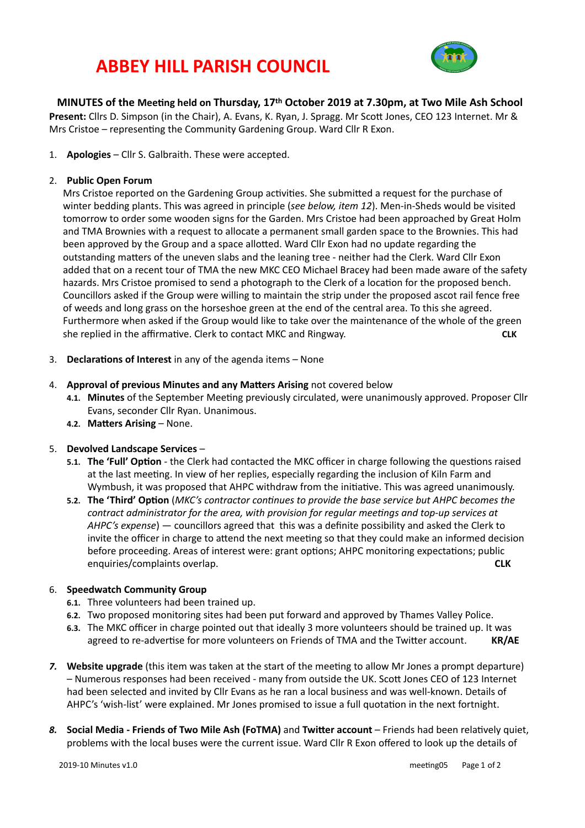# **ABBEY HILL PARISH COUNCIL**



**MINUTES** of the Meeting held on Thursday, 17<sup>th</sup> October 2019 at 7.30pm, at Two Mile Ash School **Present:** Cllrs D. Simpson (in the Chair), A. Evans, K. Ryan, J. Spragg. Mr Scott Jones, CEO 123 Internet. Mr & Mrs Cristoe – representing the Community Gardening Group. Ward Cllr R Exon.

1. **Apologies** – Cllr S. Galbraith. These were accepted.

#### 2. **Public Open Forum**

Mrs Cristoe reported on the Gardening Group activities. She submitted a request for the purchase of winter bedding plants. This was agreed in principle (see below, item 12). Men-in-Sheds would be visited tomorrow to order some wooden signs for the Garden. Mrs Cristoe had been approached by Great Holm and TMA Brownies with a request to allocate a permanent small garden space to the Brownies. This had been approved by the Group and a space allotted. Ward Cllr Exon had no update regarding the outstanding matters of the uneven slabs and the leaning tree - neither had the Clerk. Ward Cllr Exon added that on a recent tour of TMA the new MKC CEO Michael Bracey had been made aware of the safety hazards. Mrs Cristoe promised to send a photograph to the Clerk of a location for the proposed bench. Councillors asked if the Group were willing to maintain the strip under the proposed ascot rail fence free of weeds and long grass on the horseshoe green at the end of the central area. To this she agreed. Furthermore when asked if the Group would like to take over the maintenance of the whole of the green she replied in the affirmative. Clerk to contact MKC and Ringway.  $CLK$ 

- 3. **Declarations of Interest** in any of the agenda items None
- 4. **Approval of previous Minutes and any Matters Arising** not covered below
	- 4.1. Minutes of the September Meeting previously circulated, were unanimously approved. Proposer Cllr Evans, seconder Cllr Ryan. Unanimous.
	- **4.2. Matters Arising None.**

#### 5. **Devolved Landscape Services -**

- **5.1.** The 'Full' Option the Clerk had contacted the MKC officer in charge following the questions raised at the last meeting. In view of her replies, especially regarding the inclusion of Kiln Farm and Wymbush, it was proposed that AHPC withdraw from the initiative. This was agreed unanimously.
- 5.2. The 'Third' Option (MKC's contractor continues to provide the base service but AHPC becomes the *contract administrator for the area, with provision for regular meetings and top-up services at AHPC's* expense) — councillors agreed that this was a definite possibility and asked the Clerk to invite the officer in charge to attend the next meeting so that they could make an informed decision before proceeding. Areas of interest were: grant options; AHPC monitoring expectations; public enquiries/complaints overlap. **A** and the contract of the contract of the contract of the contract of the contract of the contract of the contract of the contract of the contract of the contract of the contract of the cont

#### 6. **Speedwatch Community Group**

- **6.1.** Three volunteers had been trained up.
- **6.2.** Two proposed monitoring sites had been put forward and approved by Thames Valley Police.
- 6.3. The MKC officer in charge pointed out that ideally 3 more volunteers should be trained up. It was agreed to re-advertise for more volunteers on Friends of TMA and the Twitter account. **KR/AE**
- **7. Website upgrade** (this item was taken at the start of the meeting to allow Mr Jones a prompt departure) - Numerous responses had been received - many from outside the UK. Scott Jones CEO of 123 Internet had been selected and invited by Cllr Evans as he ran a local business and was well-known. Details of AHPC's 'wish-list' were explained. Mr Jones promised to issue a full quotation in the next fortnight.
- 8. **Social Media Friends of Two Mile Ash (FoTMA)** and **Twitter account** Friends had been relatively quiet, problems with the local buses were the current issue. Ward Cllr R Exon offered to look up the details of